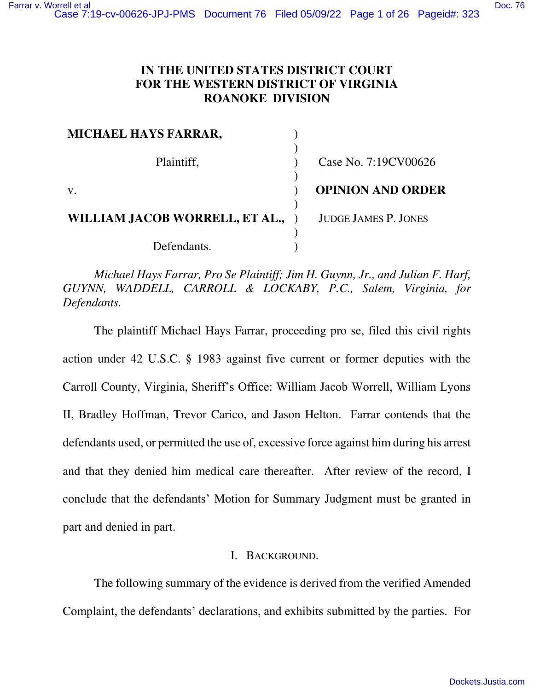# **IN THE UNITED STATES DISTRICT COURT FOR THE WESTERN DISTRICT OF VIRGINIA ROANOKE DIVISION**

| MICHAEL HAYS FARRAR,           |                             |
|--------------------------------|-----------------------------|
| Plaintiff,                     | Case No. 7:19CV00626        |
| V.                             | <b>OPINION AND ORDER</b>    |
| WILLIAM JACOB WORRELL, ET AL., | <b>JUDGE JAMES P. JONES</b> |
| Defendants.                    |                             |

*Michael Hays Farrar, Pro Se Plaintiff; Jim H. Guynn, Jr., and Julian F. Harf, GUYNN, WADDELL, CARROLL & LOCKABY, P.C., Salem, Virginia, for Defendants.*

 The plaintiff Michael Hays Farrar, proceeding pro se, filed this civil rights action under 42 U.S.C. § 1983 against five current or former deputies with the Carroll County, Virginia, Sheriff's Office: William Jacob Worrell, William Lyons II, Bradley Hoffman, Trevor Carico, and Jason Helton. Farrar contends that the defendants used, or permitted the use of, excessive force against him during his arrest and that they denied him medical care thereafter. After review of the record, I conclude that the defendants' Motion for Summary Judgment must be granted in part and denied in part.

# I. BACKGROUND.

 The following summary of the evidence is derived from the verified Amended Complaint, the defendants' declarations, and exhibits submitted by the parties. For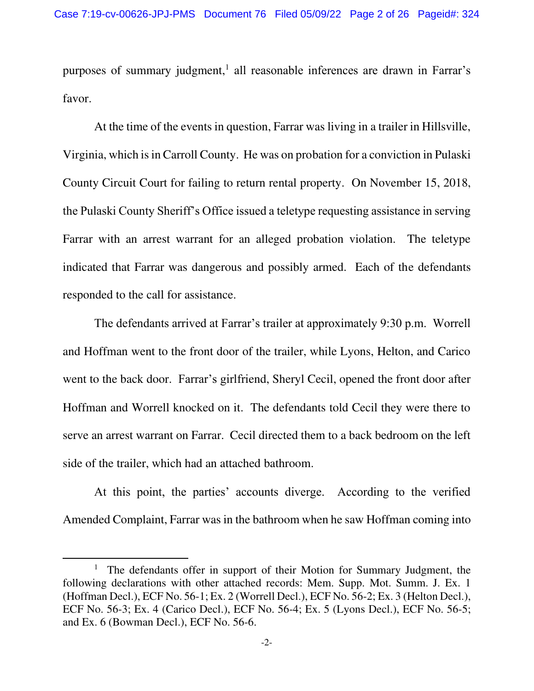purposes of summary judgment,<sup>1</sup> all reasonable inferences are drawn in Farrar's favor.

 At the time of the events in question, Farrar was living in a trailer in Hillsville, Virginia, which is in Carroll County. He was on probation for a conviction in Pulaski County Circuit Court for failing to return rental property. On November 15, 2018, the Pulaski County Sheriff's Office issued a teletype requesting assistance in serving Farrar with an arrest warrant for an alleged probation violation. The teletype indicated that Farrar was dangerous and possibly armed. Each of the defendants responded to the call for assistance.

The defendants arrived at Farrar's trailer at approximately 9:30 p.m. Worrell and Hoffman went to the front door of the trailer, while Lyons, Helton, and Carico went to the back door. Farrar's girlfriend, Sheryl Cecil, opened the front door after Hoffman and Worrell knocked on it. The defendants told Cecil they were there to serve an arrest warrant on Farrar. Cecil directed them to a back bedroom on the left side of the trailer, which had an attached bathroom.

At this point, the parties' accounts diverge. According to the verified Amended Complaint, Farrar was in the bathroom when he saw Hoffman coming into

<sup>&</sup>lt;sup>1</sup> The defendants offer in support of their Motion for Summary Judgment, the following declarations with other attached records: Mem. Supp. Mot. Summ. J. Ex. 1 (Hoffman Decl.), ECF No. 56-1; Ex. 2 (Worrell Decl.), ECF No. 56-2; Ex. 3 (Helton Decl.), ECF No. 56-3; Ex. 4 (Carico Decl.), ECF No. 56-4; Ex. 5 (Lyons Decl.), ECF No. 56-5; and Ex. 6 (Bowman Decl.), ECF No. 56-6.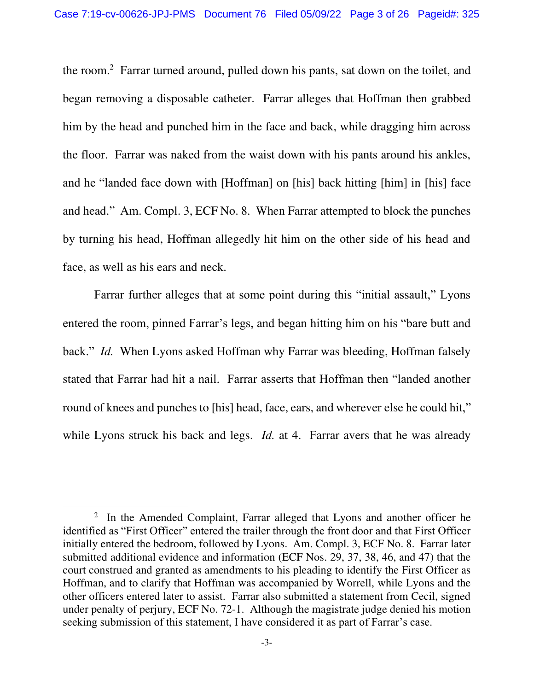the room.<sup>2</sup> Farrar turned around, pulled down his pants, sat down on the toilet, and began removing a disposable catheter. Farrar alleges that Hoffman then grabbed him by the head and punched him in the face and back, while dragging him across the floor. Farrar was naked from the waist down with his pants around his ankles, and he "landed face down with [Hoffman] on [his] back hitting [him] in [his] face and head." Am. Compl. 3, ECF No. 8. When Farrar attempted to block the punches by turning his head, Hoffman allegedly hit him on the other side of his head and face, as well as his ears and neck.

Farrar further alleges that at some point during this "initial assault," Lyons entered the room, pinned Farrar's legs, and began hitting him on his "bare butt and back." *Id.* When Lyons asked Hoffman why Farrar was bleeding, Hoffman falsely stated that Farrar had hit a nail. Farrar asserts that Hoffman then "landed another round of knees and punches to [his] head, face, ears, and wherever else he could hit," while Lyons struck his back and legs. *Id.* at 4. Farrar avers that he was already

<sup>&</sup>lt;sup>2</sup> In the Amended Complaint, Farrar alleged that Lyons and another officer he identified as "First Officer" entered the trailer through the front door and that First Officer initially entered the bedroom, followed by Lyons. Am. Compl. 3, ECF No. 8. Farrar later submitted additional evidence and information (ECF Nos. 29, 37, 38, 46, and 47) that the court construed and granted as amendments to his pleading to identify the First Officer as Hoffman, and to clarify that Hoffman was accompanied by Worrell, while Lyons and the other officers entered later to assist. Farrar also submitted a statement from Cecil, signed under penalty of perjury, ECF No. 72-1. Although the magistrate judge denied his motion seeking submission of this statement, I have considered it as part of Farrar's case.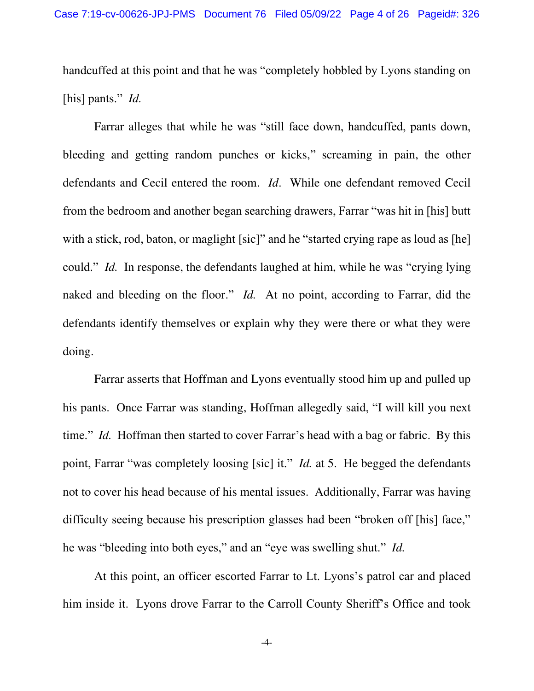handcuffed at this point and that he was "completely hobbled by Lyons standing on [his] pants." *Id.*

 Farrar alleges that while he was "still face down, handcuffed, pants down, bleeding and getting random punches or kicks," screaming in pain, the other defendants and Cecil entered the room. *Id*. While one defendant removed Cecil from the bedroom and another began searching drawers, Farrar "was hit in [his] butt with a stick, rod, baton, or maglight [sic]" and he "started crying rape as loud as [he] could." *Id.* In response, the defendants laughed at him, while he was "crying lying naked and bleeding on the floor." *Id.* At no point, according to Farrar, did the defendants identify themselves or explain why they were there or what they were doing.

 Farrar asserts that Hoffman and Lyons eventually stood him up and pulled up his pants. Once Farrar was standing, Hoffman allegedly said, "I will kill you next time." *Id.* Hoffman then started to cover Farrar's head with a bag or fabric. By this point, Farrar "was completely loosing [sic] it." *Id.* at 5. He begged the defendants not to cover his head because of his mental issues. Additionally, Farrar was having difficulty seeing because his prescription glasses had been "broken off [his] face," he was "bleeding into both eyes," and an "eye was swelling shut." *Id.*

 At this point, an officer escorted Farrar to Lt. Lyons's patrol car and placed him inside it. Lyons drove Farrar to the Carroll County Sheriff's Office and took

-4-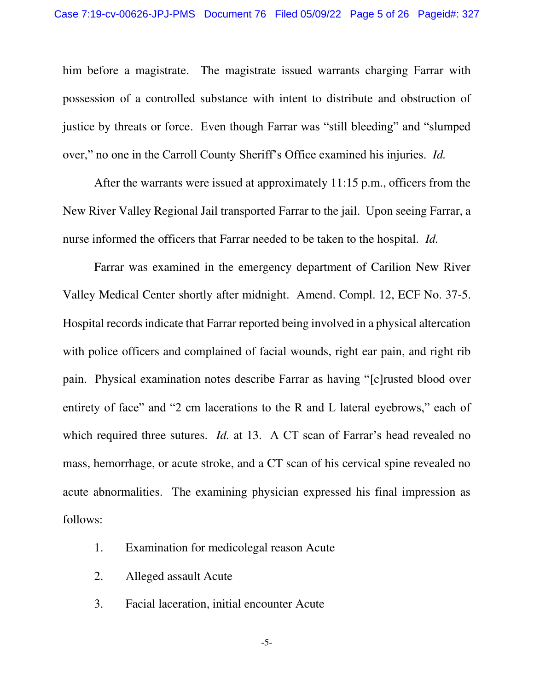him before a magistrate. The magistrate issued warrants charging Farrar with possession of a controlled substance with intent to distribute and obstruction of justice by threats or force. Even though Farrar was "still bleeding" and "slumped over," no one in the Carroll County Sheriff's Office examined his injuries. *Id.*

After the warrants were issued at approximately 11:15 p.m., officers from the New River Valley Regional Jail transported Farrar to the jail. Upon seeing Farrar, a nurse informed the officers that Farrar needed to be taken to the hospital. *Id.*

 Farrar was examined in the emergency department of Carilion New River Valley Medical Center shortly after midnight. Amend. Compl. 12, ECF No. 37-5. Hospital records indicate that Farrar reported being involved in a physical altercation with police officers and complained of facial wounds, right ear pain, and right rib pain. Physical examination notes describe Farrar as having "[c]rusted blood over entirety of face" and "2 cm lacerations to the R and L lateral eyebrows," each of which required three sutures. *Id.* at 13. A CT scan of Farrar's head revealed no mass, hemorrhage, or acute stroke, and a CT scan of his cervical spine revealed no acute abnormalities. The examining physician expressed his final impression as follows:

- 1. Examination for medicolegal reason Acute
- 2. Alleged assault Acute
- 3. Facial laceration, initial encounter Acute

-5-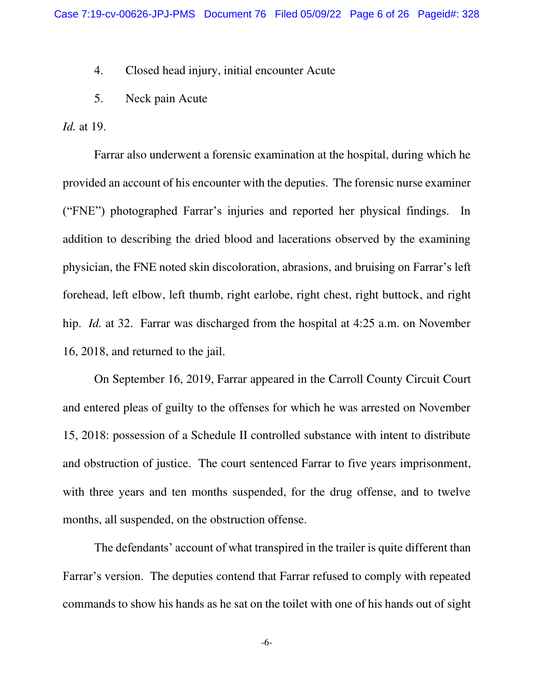4. Closed head injury, initial encounter Acute

5. Neck pain Acute

*Id.* at 19.

 Farrar also underwent a forensic examination at the hospital, during which he provided an account of his encounter with the deputies. The forensic nurse examiner ("FNE") photographed Farrar's injuries and reported her physical findings. In addition to describing the dried blood and lacerations observed by the examining physician, the FNE noted skin discoloration, abrasions, and bruising on Farrar's left forehead, left elbow, left thumb, right earlobe, right chest, right buttock, and right hip. *Id.* at 32. Farrar was discharged from the hospital at 4:25 a.m. on November 16, 2018, and returned to the jail.

 On September 16, 2019, Farrar appeared in the Carroll County Circuit Court and entered pleas of guilty to the offenses for which he was arrested on November 15, 2018: possession of a Schedule II controlled substance with intent to distribute and obstruction of justice. The court sentenced Farrar to five years imprisonment, with three years and ten months suspended, for the drug offense, and to twelve months, all suspended, on the obstruction offense.

The defendants' account of what transpired in the trailer is quite different than Farrar's version. The deputies contend that Farrar refused to comply with repeated commands to show his hands as he sat on the toilet with one of his hands out of sight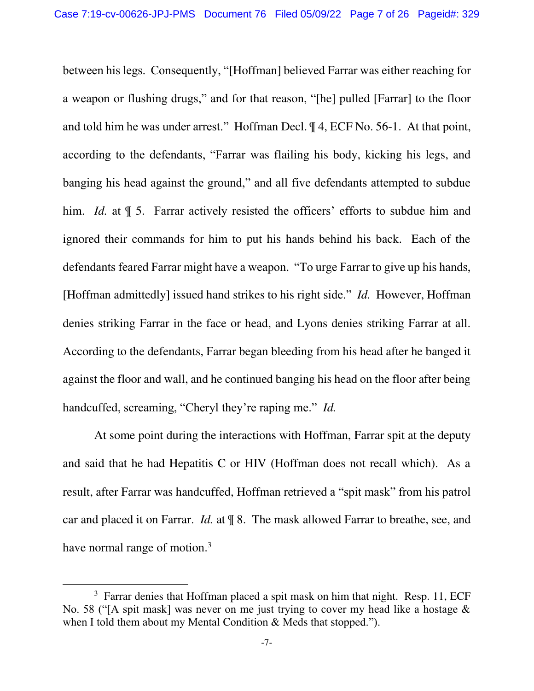between his legs. Consequently, "[Hoffman] believed Farrar was either reaching for a weapon or flushing drugs," and for that reason, "[he] pulled [Farrar] to the floor and told him he was under arrest." Hoffman Decl. ¶ 4, ECF No. 56-1. At that point, according to the defendants, "Farrar was flailing his body, kicking his legs, and banging his head against the ground," and all five defendants attempted to subdue him. *Id.* at  $\parallel$  5. Farrar actively resisted the officers' efforts to subdue him and ignored their commands for him to put his hands behind his back. Each of the defendants feared Farrar might have a weapon. "To urge Farrar to give up his hands, [Hoffman admittedly] issued hand strikes to his right side." *Id.* However, Hoffman denies striking Farrar in the face or head, and Lyons denies striking Farrar at all. According to the defendants, Farrar began bleeding from his head after he banged it against the floor and wall, and he continued banging his head on the floor after being handcuffed, screaming, "Cheryl they're raping me." *Id.*

At some point during the interactions with Hoffman, Farrar spit at the deputy and said that he had Hepatitis C or HIV (Hoffman does not recall which). As a result, after Farrar was handcuffed, Hoffman retrieved a "spit mask" from his patrol car and placed it on Farrar. *Id.* at ¶ 8. The mask allowed Farrar to breathe, see, and have normal range of motion.<sup>3</sup>

<sup>&</sup>lt;sup>3</sup> Farrar denies that Hoffman placed a spit mask on him that night. Resp. 11, ECF No. 58 ("[A spit mask] was never on me just trying to cover my head like a hostage & when I told them about my Mental Condition & Meds that stopped.").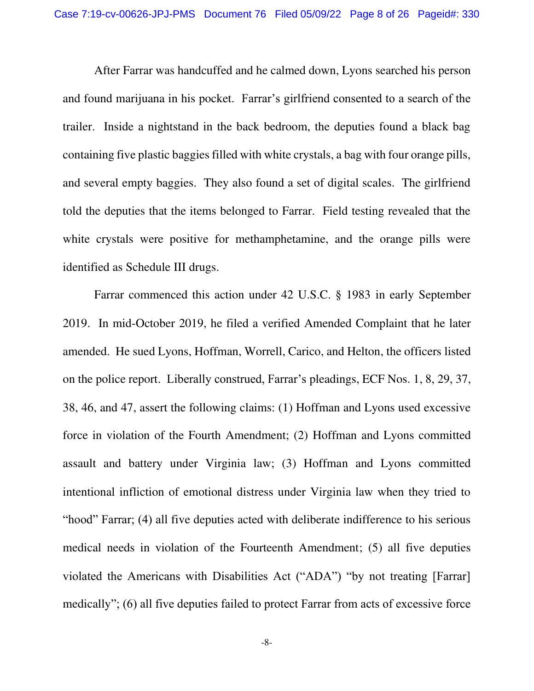After Farrar was handcuffed and he calmed down, Lyons searched his person and found marijuana in his pocket. Farrar's girlfriend consented to a search of the trailer. Inside a nightstand in the back bedroom, the deputies found a black bag containing five plastic baggies filled with white crystals, a bag with four orange pills, and several empty baggies. They also found a set of digital scales. The girlfriend told the deputies that the items belonged to Farrar. Field testing revealed that the white crystals were positive for methamphetamine, and the orange pills were identified as Schedule III drugs.

Farrar commenced this action under 42 U.S.C. § 1983 in early September 2019. In mid-October 2019, he filed a verified Amended Complaint that he later amended. He sued Lyons, Hoffman, Worrell, Carico, and Helton, the officers listed on the police report. Liberally construed, Farrar's pleadings, ECF Nos. 1, 8, 29, 37, 38, 46, and 47, assert the following claims: (1) Hoffman and Lyons used excessive force in violation of the Fourth Amendment; (2) Hoffman and Lyons committed assault and battery under Virginia law; (3) Hoffman and Lyons committed intentional infliction of emotional distress under Virginia law when they tried to "hood" Farrar; (4) all five deputies acted with deliberate indifference to his serious medical needs in violation of the Fourteenth Amendment; (5) all five deputies violated the Americans with Disabilities Act ("ADA") "by not treating [Farrar] medically"; (6) all five deputies failed to protect Farrar from acts of excessive force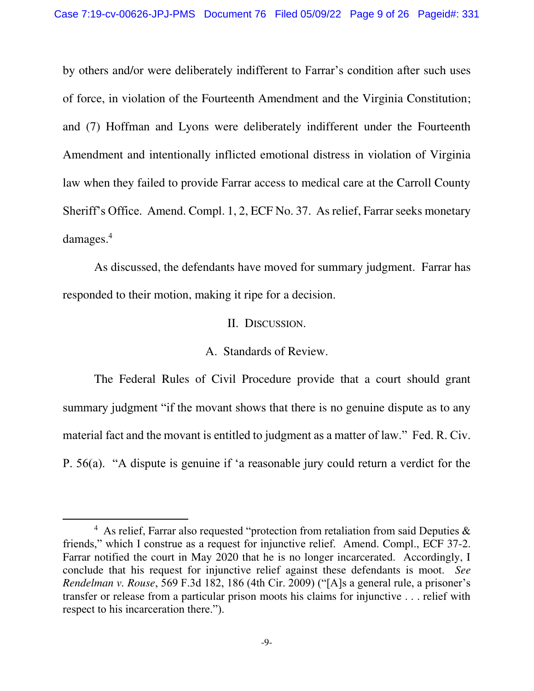by others and/or were deliberately indifferent to Farrar's condition after such uses of force, in violation of the Fourteenth Amendment and the Virginia Constitution; and (7) Hoffman and Lyons were deliberately indifferent under the Fourteenth Amendment and intentionally inflicted emotional distress in violation of Virginia law when they failed to provide Farrar access to medical care at the Carroll County Sheriff's Office. Amend. Compl. 1, 2, ECF No. 37. As relief, Farrar seeks monetary damages.<sup>4</sup>

 As discussed, the defendants have moved for summary judgment. Farrar has responded to their motion, making it ripe for a decision.

### II. DISCUSSION.

### A. Standards of Review.

The Federal Rules of Civil Procedure provide that a court should grant summary judgment "if the movant shows that there is no genuine dispute as to any material fact and the movant is entitled to judgment as a matter of law." Fed. R. Civ. P. 56(a). "A dispute is genuine if 'a reasonable jury could return a verdict for the

<sup>&</sup>lt;sup>4</sup> As relief, Farrar also requested "protection from retaliation from said Deputies & friends," which I construe as a request for injunctive relief. Amend. Compl., ECF 37-2. Farrar notified the court in May 2020 that he is no longer incarcerated. Accordingly, I conclude that his request for injunctive relief against these defendants is moot. *See Rendelman v. Rouse*, 569 F.3d 182, 186 (4th Cir. 2009) ("[A]s a general rule, a prisoner's transfer or release from a particular prison moots his claims for injunctive . . . relief with respect to his incarceration there.").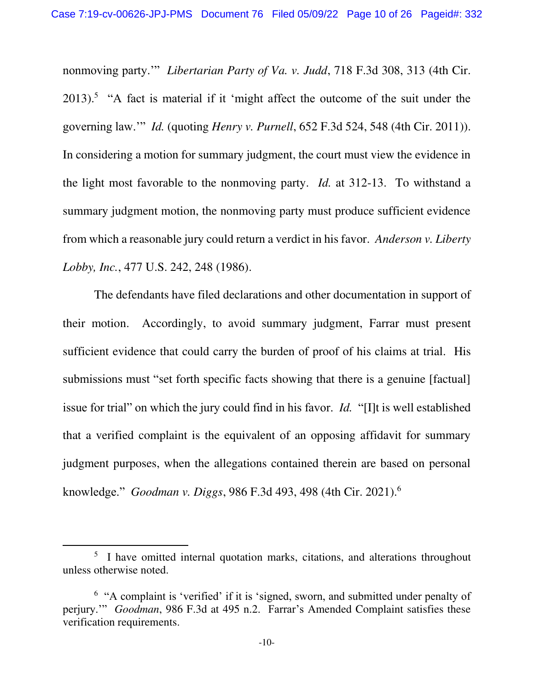nonmoving party.'" *Libertarian Party of Va. v. Judd*, 718 F.3d 308, 313 (4th Cir.  $2013$ ).<sup>5</sup> "A fact is material if it 'might affect the outcome of the suit under the governing law.'" *Id.* (quoting *Henry v. Purnell*, 652 F.3d 524, 548 (4th Cir. 2011)). In considering a motion for summary judgment, the court must view the evidence in the light most favorable to the nonmoving party. *Id.* at 312-13. To withstand a summary judgment motion, the nonmoving party must produce sufficient evidence from which a reasonable jury could return a verdict in his favor. *Anderson v. Liberty Lobby, Inc.*, 477 U.S. 242, 248 (1986).

The defendants have filed declarations and other documentation in support of their motion. Accordingly, to avoid summary judgment, Farrar must present sufficient evidence that could carry the burden of proof of his claims at trial. His submissions must "set forth specific facts showing that there is a genuine [factual] issue for trial" on which the jury could find in his favor. *Id.* "[I]t is well established that a verified complaint is the equivalent of an opposing affidavit for summary judgment purposes, when the allegations contained therein are based on personal knowledge." *Goodman v. Diggs*, 986 F.3d 493, 498 (4th Cir. 2021).<sup>6</sup>

<sup>&</sup>lt;sup>5</sup> I have omitted internal quotation marks, citations, and alterations throughout unless otherwise noted.

<sup>&</sup>lt;sup>6</sup> "A complaint is 'verified' if it is 'signed, sworn, and submitted under penalty of perjury.'" *Goodman*, 986 F.3d at 495 n.2. Farrar's Amended Complaint satisfies these verification requirements.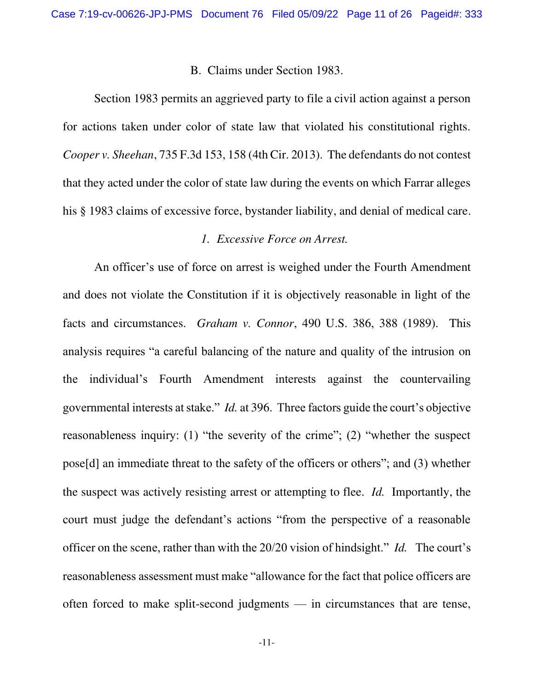#### B. Claims under Section 1983.

Section 1983 permits an aggrieved party to file a civil action against a person for actions taken under color of state law that violated his constitutional rights. *Cooper v. Sheehan*, 735 F.3d 153, 158 (4th Cir. 2013). The defendants do not contest that they acted under the color of state law during the events on which Farrar alleges his § 1983 claims of excessive force, bystander liability, and denial of medical care.

## *1. Excessive Force on Arrest.*

An officer's use of force on arrest is weighed under the Fourth Amendment and does not violate the Constitution if it is objectively reasonable in light of the facts and circumstances. *Graham v. Connor*, 490 U.S. 386, 388 (1989). This analysis requires "a careful balancing of the nature and quality of the intrusion on the individual's Fourth Amendment interests against the countervailing governmental interests at stake." *Id.* at 396. Three factors guide the court's objective reasonableness inquiry: (1) "the severity of the crime"; (2) "whether the suspect pose[d] an immediate threat to the safety of the officers or others"; and (3) whether the suspect was actively resisting arrest or attempting to flee. *Id.* Importantly, the court must judge the defendant's actions "from the perspective of a reasonable officer on the scene, rather than with the 20/20 vision of hindsight." *Id.* The court's reasonableness assessment must make "allowance for the fact that police officers are often forced to make split-second judgments — in circumstances that are tense,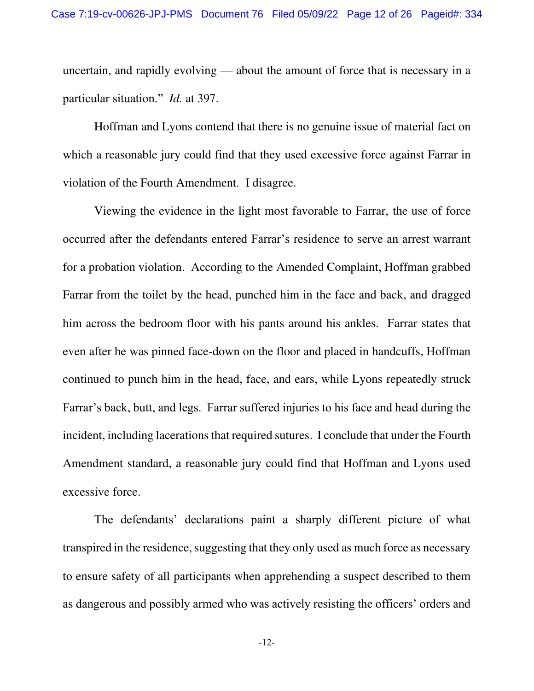uncertain, and rapidly evolving — about the amount of force that is necessary in a particular situation." *Id.* at 397.

Hoffman and Lyons contend that there is no genuine issue of material fact on which a reasonable jury could find that they used excessive force against Farrar in violation of the Fourth Amendment. I disagree.

Viewing the evidence in the light most favorable to Farrar, the use of force occurred after the defendants entered Farrar's residence to serve an arrest warrant for a probation violation. According to the Amended Complaint, Hoffman grabbed Farrar from the toilet by the head, punched him in the face and back, and dragged him across the bedroom floor with his pants around his ankles. Farrar states that even after he was pinned face-down on the floor and placed in handcuffs, Hoffman continued to punch him in the head, face, and ears, while Lyons repeatedly struck Farrar's back, butt, and legs. Farrar suffered injuries to his face and head during the incident, including lacerations that required sutures. I conclude that under the Fourth Amendment standard, a reasonable jury could find that Hoffman and Lyons used excessive force.

The defendants' declarations paint a sharply different picture of what transpired in the residence, suggesting that they only used as much force as necessary to ensure safety of all participants when apprehending a suspect described to them as dangerous and possibly armed who was actively resisting the officers' orders and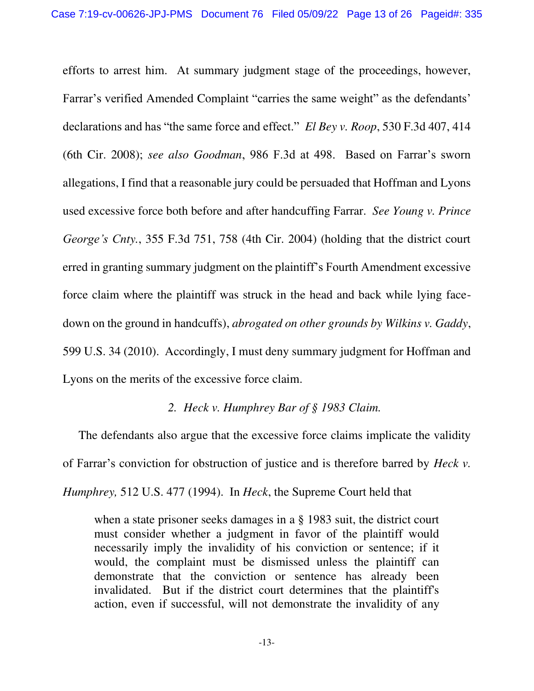efforts to arrest him. At summary judgment stage of the proceedings, however, Farrar's verified Amended Complaint "carries the same weight" as the defendants' declarations and has "the same force and effect." *El Bey v. Roop*, 530 F.3d 407, 414 (6th Cir. 2008); *see also Goodman*, 986 F.3d at 498. Based on Farrar's sworn allegations, I find that a reasonable jury could be persuaded that Hoffman and Lyons used excessive force both before and after handcuffing Farrar. *See Young v. Prince George's Cnty.*, 355 F.3d 751, 758 (4th Cir. 2004) (holding that the district court erred in granting summary judgment on the plaintiff's Fourth Amendment excessive force claim where the plaintiff was struck in the head and back while lying facedown on the ground in handcuffs), *abrogated on other grounds by Wilkins v. Gaddy*, 599 U.S. 34 (2010). Accordingly, I must deny summary judgment for Hoffman and Lyons on the merits of the excessive force claim.

### *2. Heck v. Humphrey Bar of § 1983 Claim.*

The defendants also argue that the excessive force claims implicate the validity of Farrar's conviction for obstruction of justice and is therefore barred by *Heck v. Humphrey,* 512 U.S. 477 (1994). In *Heck*, the Supreme Court held that

when a state prisoner seeks damages in a § 1983 suit, the district court must consider whether a judgment in favor of the plaintiff would necessarily imply the invalidity of his conviction or sentence; if it would, the complaint must be dismissed unless the plaintiff can demonstrate that the conviction or sentence has already been invalidated. But if the district court determines that the plaintiff's action, even if successful, will not demonstrate the invalidity of any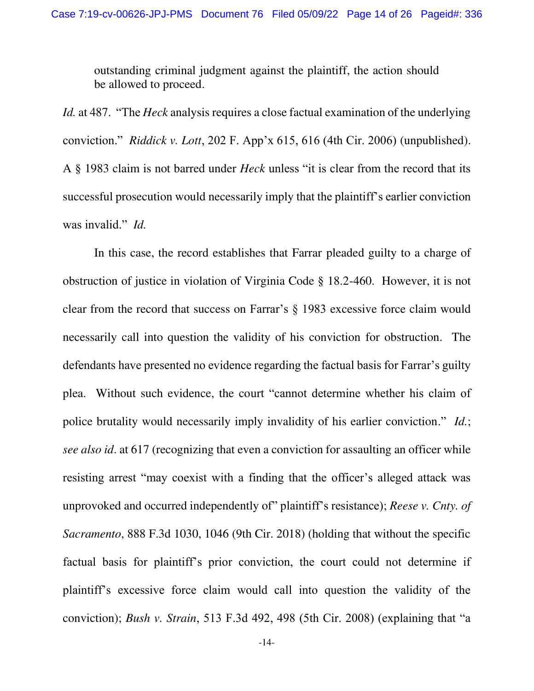outstanding criminal judgment against the plaintiff, the action should be allowed to proceed.

*Id.* at 487. "The *Heck* analysis requires a close factual examination of the underlying conviction." *Riddick v. Lott*, 202 F. App'x 615, 616 (4th Cir. 2006) (unpublished). A § 1983 claim is not barred under *Heck* unless "it is clear from the record that its successful prosecution would necessarily imply that the plaintiff's earlier conviction was invalid." *Id.*

 In this case, the record establishes that Farrar pleaded guilty to a charge of obstruction of justice in violation of Virginia Code § 18.2-460. However, it is not clear from the record that success on Farrar's § 1983 excessive force claim would necessarily call into question the validity of his conviction for obstruction. The defendants have presented no evidence regarding the factual basis for Farrar's guilty plea. Without such evidence, the court "cannot determine whether his claim of police brutality would necessarily imply invalidity of his earlier conviction." *Id.*; *see also id*. at 617 (recognizing that even a conviction for assaulting an officer while resisting arrest "may coexist with a finding that the officer's alleged attack was unprovoked and occurred independently of" plaintiff's resistance); *Reese v. Cnty. of Sacramento*, 888 F.3d 1030, 1046 (9th Cir. 2018) (holding that without the specific factual basis for plaintiff's prior conviction, the court could not determine if plaintiff's excessive force claim would call into question the validity of the conviction); *Bush v. Strain*, 513 F.3d 492, 498 (5th Cir. 2008) (explaining that "a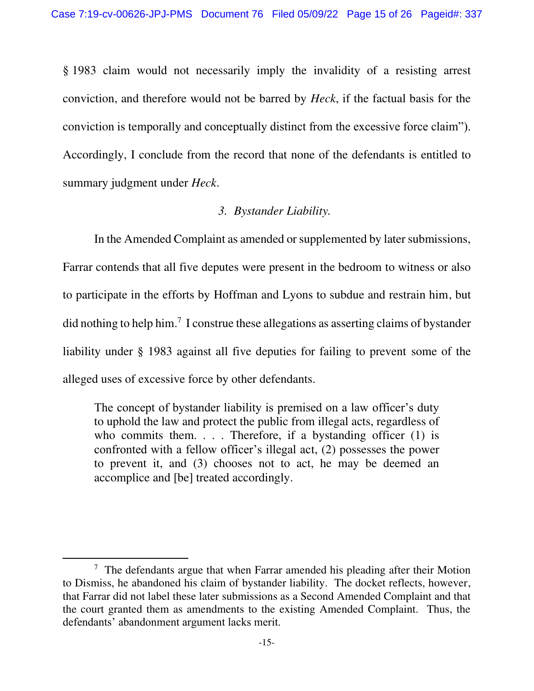§ 1983 claim would not necessarily imply the invalidity of a resisting arrest conviction, and therefore would not be barred by *Heck*, if the factual basis for the conviction is temporally and conceptually distinct from the excessive force claim"). Accordingly, I conclude from the record that none of the defendants is entitled to summary judgment under *Heck*.

# *3. Bystander Liability.*

In the Amended Complaint as amended or supplemented by later submissions, Farrar contends that all five deputes were present in the bedroom to witness or also to participate in the efforts by Hoffman and Lyons to subdue and restrain him, but did nothing to help him.<sup>7</sup> I construe these allegations as asserting claims of bystander liability under § 1983 against all five deputies for failing to prevent some of the alleged uses of excessive force by other defendants.

The concept of bystander liability is premised on a law officer's duty to uphold the law and protect the public from illegal acts, regardless of who commits them.  $\ldots$ . Therefore, if a bystanding officer (1) is confronted with a fellow officer's illegal act, (2) possesses the power to prevent it, and (3) chooses not to act, he may be deemed an accomplice and [be] treated accordingly.

 $7$  The defendants argue that when Farrar amended his pleading after their Motion to Dismiss, he abandoned his claim of bystander liability. The docket reflects, however, that Farrar did not label these later submissions as a Second Amended Complaint and that the court granted them as amendments to the existing Amended Complaint. Thus, the defendants' abandonment argument lacks merit.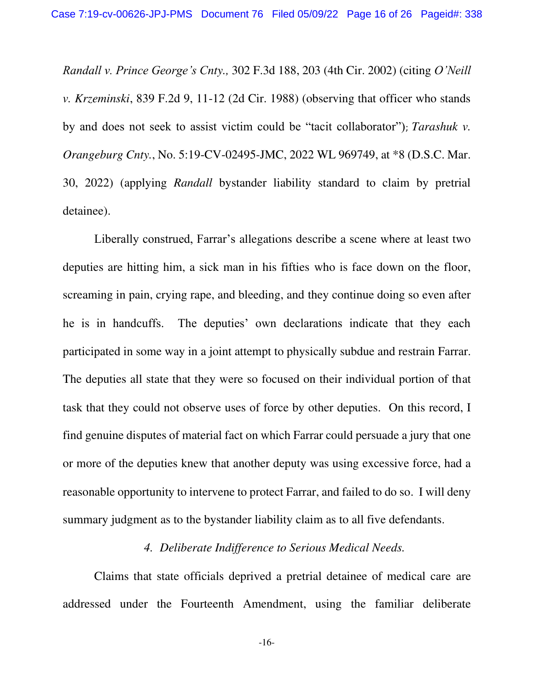*Randall v. Prince George's Cnty.,* 302 F.3d 188, 203 (4th Cir. 2002) (citing *O'Neill v. Krzeminski*, 839 F.2d 9, 11-12 (2d Cir. 1988) (observing that officer who stands by and does not seek to assist victim could be "tacit collaborator"); *Tarashuk v. Orangeburg Cnty.*, No. 5:19-CV-02495-JMC, 2022 WL 969749, at \*8 (D.S.C. Mar. 30, 2022) (applying *Randall* bystander liability standard to claim by pretrial detainee).

Liberally construed, Farrar's allegations describe a scene where at least two deputies are hitting him, a sick man in his fifties who is face down on the floor, screaming in pain, crying rape, and bleeding, and they continue doing so even after he is in handcuffs. The deputies' own declarations indicate that they each participated in some way in a joint attempt to physically subdue and restrain Farrar. The deputies all state that they were so focused on their individual portion of that task that they could not observe uses of force by other deputies. On this record, I find genuine disputes of material fact on which Farrar could persuade a jury that one or more of the deputies knew that another deputy was using excessive force, had a reasonable opportunity to intervene to protect Farrar, and failed to do so. I will deny summary judgment as to the bystander liability claim as to all five defendants.

### *4. Deliberate Indifference to Serious Medical Needs.*

Claims that state officials deprived a pretrial detainee of medical care are addressed under the Fourteenth Amendment, using the familiar deliberate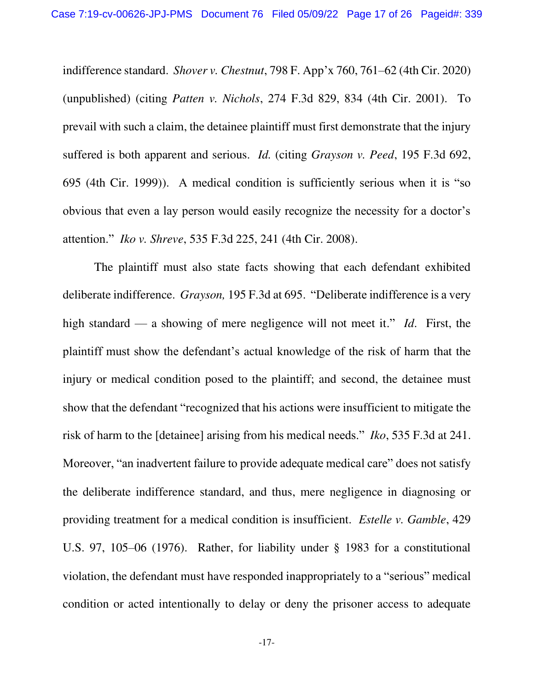indifference standard. *Shover v. Chestnut*, 798 F. App'x 760, 761–62 (4th Cir. 2020) (unpublished) (citing *Patten v. Nichols*, 274 F.3d 829, 834 (4th Cir. 2001). To prevail with such a claim, the detainee plaintiff must first demonstrate that the injury suffered is both apparent and serious. *Id.* (citing *Grayson v. Peed*, 195 F.3d 692, 695 (4th Cir. 1999)). A medical condition is sufficiently serious when it is "so obvious that even a lay person would easily recognize the necessity for a doctor's attention." *Iko v. Shreve*, 535 F.3d 225, 241 (4th Cir. 2008).

The plaintiff must also state facts showing that each defendant exhibited deliberate indifference. *Grayson,* 195 F.3d at 695. "Deliberate indifference is a very high standard — a showing of mere negligence will not meet it." *Id*. First, the plaintiff must show the defendant's actual knowledge of the risk of harm that the injury or medical condition posed to the plaintiff; and second, the detainee must show that the defendant "recognized that his actions were insufficient to mitigate the risk of harm to the [detainee] arising from his medical needs." *Iko*, 535 F.3d at 241. Moreover, "an inadvertent failure to provide adequate medical care" does not satisfy the deliberate indifference standard, and thus, mere negligence in diagnosing or providing treatment for a medical condition is insufficient. *Estelle v. Gamble*, 429 U.S. 97, 105–06 (1976). Rather, for liability under § 1983 for a constitutional violation, the defendant must have responded inappropriately to a "serious" medical condition or acted intentionally to delay or deny the prisoner access to adequate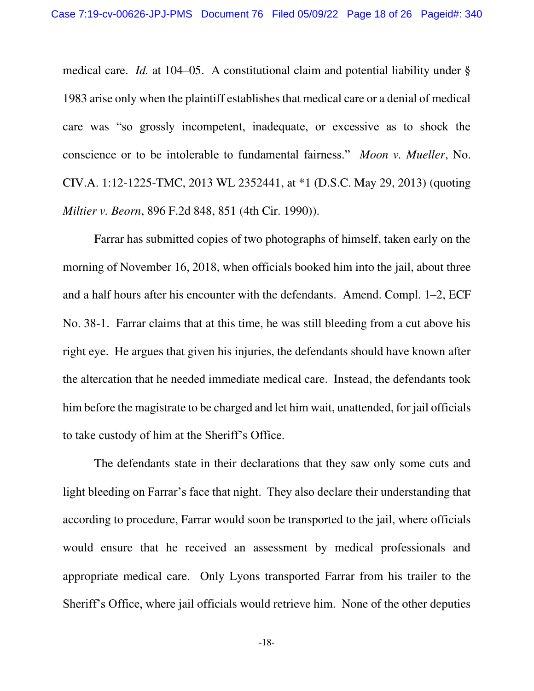medical care. *Id.* at 104–05. A constitutional claim and potential liability under § 1983 arise only when the plaintiff establishes that medical care or a denial of medical care was "so grossly incompetent, inadequate, or excessive as to shock the conscience or to be intolerable to fundamental fairness." *Moon v. Mueller*, No. CIV.A. 1:12-1225-TMC, 2013 WL 2352441, at \*1 (D.S.C. May 29, 2013) (quoting *Miltier v. Beorn*, 896 F.2d 848, 851 (4th Cir. 1990)).

Farrar has submitted copies of two photographs of himself, taken early on the morning of November 16, 2018, when officials booked him into the jail, about three and a half hours after his encounter with the defendants. Amend. Compl. 1–2, ECF No. 38-1. Farrar claims that at this time, he was still bleeding from a cut above his right eye. He argues that given his injuries, the defendants should have known after the altercation that he needed immediate medical care. Instead, the defendants took him before the magistrate to be charged and let him wait, unattended, for jail officials to take custody of him at the Sheriff's Office.

The defendants state in their declarations that they saw only some cuts and light bleeding on Farrar's face that night. They also declare their understanding that according to procedure, Farrar would soon be transported to the jail, where officials would ensure that he received an assessment by medical professionals and appropriate medical care. Only Lyons transported Farrar from his trailer to the Sheriff's Office, where jail officials would retrieve him. None of the other deputies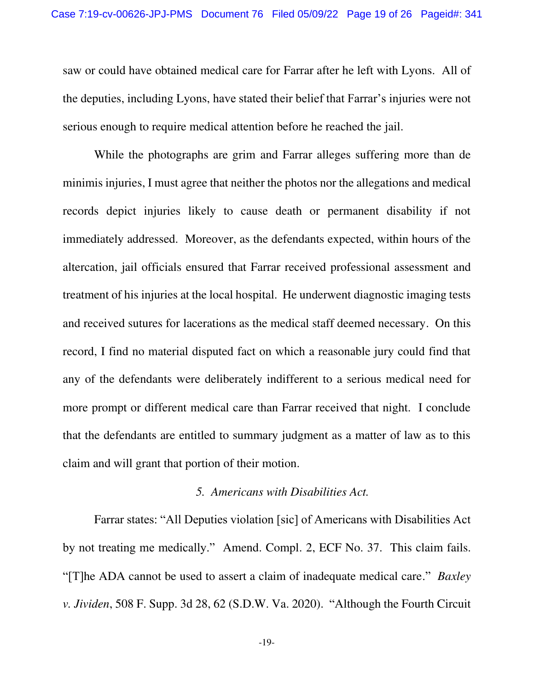saw or could have obtained medical care for Farrar after he left with Lyons. All of the deputies, including Lyons, have stated their belief that Farrar's injuries were not serious enough to require medical attention before he reached the jail.

While the photographs are grim and Farrar alleges suffering more than de minimis injuries, I must agree that neither the photos nor the allegations and medical records depict injuries likely to cause death or permanent disability if not immediately addressed. Moreover, as the defendants expected, within hours of the altercation, jail officials ensured that Farrar received professional assessment and treatment of his injuries at the local hospital. He underwent diagnostic imaging tests and received sutures for lacerations as the medical staff deemed necessary. On this record, I find no material disputed fact on which a reasonable jury could find that any of the defendants were deliberately indifferent to a serious medical need for more prompt or different medical care than Farrar received that night. I conclude that the defendants are entitled to summary judgment as a matter of law as to this claim and will grant that portion of their motion.

### *5. Americans with Disabilities Act.*

Farrar states: "All Deputies violation [sic] of Americans with Disabilities Act by not treating me medically." Amend. Compl. 2, ECF No. 37. This claim fails. "[T]he ADA cannot be used to assert a claim of inadequate medical care." *Baxley v. Jividen*, 508 F. Supp. 3d 28, 62 (S.D.W. Va. 2020). "Although the Fourth Circuit

-19-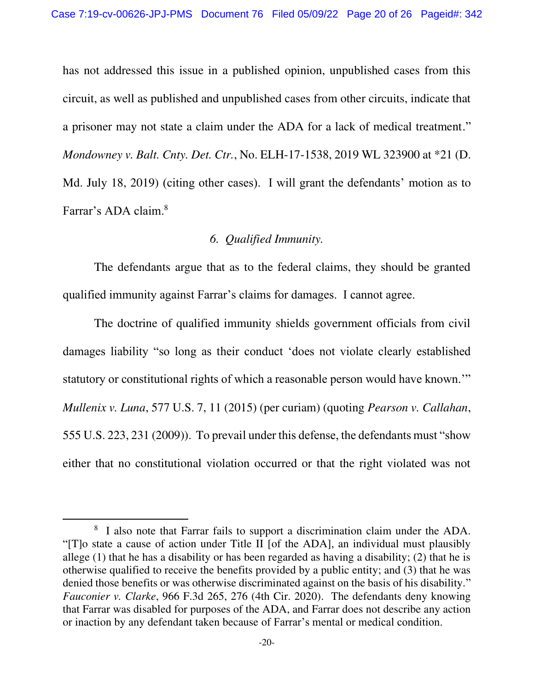has not addressed this issue in a published opinion, unpublished cases from this circuit, as well as published and unpublished cases from other circuits, indicate that a prisoner may not state a claim under the ADA for a lack of medical treatment." *Mondowney v. Balt. Cnty. Det. Ctr.*, No. ELH-17-1538, 2019 WL 323900 at \*21 (D. Md. July 18, 2019) (citing other cases). I will grant the defendants' motion as to Farrar's ADA claim. 8

# *6. Qualified Immunity.*

The defendants argue that as to the federal claims, they should be granted qualified immunity against Farrar's claims for damages. I cannot agree.

The doctrine of qualified immunity shields government officials from civil damages liability "so long as their conduct 'does not violate clearly established statutory or constitutional rights of which a reasonable person would have known.'" *Mullenix v. Luna*, 577 U.S. 7, 11 (2015) (per curiam) (quoting *Pearson v. Callahan*, 555 U.S. 223, 231 (2009)). To prevail under this defense, the defendants must "show either that no constitutional violation occurred or that the right violated was not

<sup>&</sup>lt;sup>8</sup> I also note that Farrar fails to support a discrimination claim under the ADA. "[T]o state a cause of action under Title II [of the ADA], an individual must plausibly allege  $(1)$  that he has a disability or has been regarded as having a disability;  $(2)$  that he is otherwise qualified to receive the benefits provided by a public entity; and (3) that he was denied those benefits or was otherwise discriminated against on the basis of his disability." *Fauconier v. Clarke*, 966 F.3d 265, 276 (4th Cir. 2020). The defendants deny knowing that Farrar was disabled for purposes of the ADA, and Farrar does not describe any action or inaction by any defendant taken because of Farrar's mental or medical condition.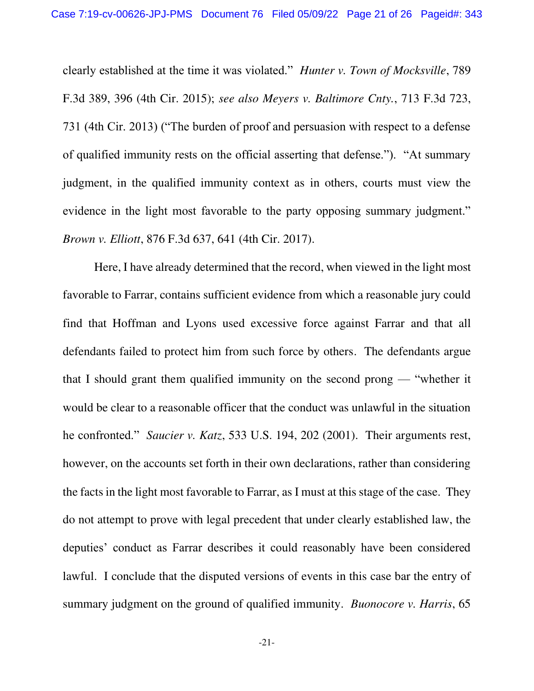clearly established at the time it was violated." *Hunter v. Town of Mocksville*, 789 F.3d 389, 396 (4th Cir. 2015); *see also Meyers v. Baltimore Cnty.*, 713 F.3d 723, 731 (4th Cir. 2013) ("The burden of proof and persuasion with respect to a defense of qualified immunity rests on the official asserting that defense."). "At summary judgment, in the qualified immunity context as in others, courts must view the evidence in the light most favorable to the party opposing summary judgment." *Brown v. Elliott*, 876 F.3d 637, 641 (4th Cir. 2017).

Here, I have already determined that the record, when viewed in the light most favorable to Farrar, contains sufficient evidence from which a reasonable jury could find that Hoffman and Lyons used excessive force against Farrar and that all defendants failed to protect him from such force by others. The defendants argue that I should grant them qualified immunity on the second prong — "whether it would be clear to a reasonable officer that the conduct was unlawful in the situation he confronted." *Saucier v. Katz*, 533 U.S. 194, 202 (2001). Their arguments rest, however, on the accounts set forth in their own declarations, rather than considering the facts in the light most favorable to Farrar, as I must at this stage of the case. They do not attempt to prove with legal precedent that under clearly established law, the deputies' conduct as Farrar describes it could reasonably have been considered lawful. I conclude that the disputed versions of events in this case bar the entry of summary judgment on the ground of qualified immunity. *Buonocore v. Harris*, 65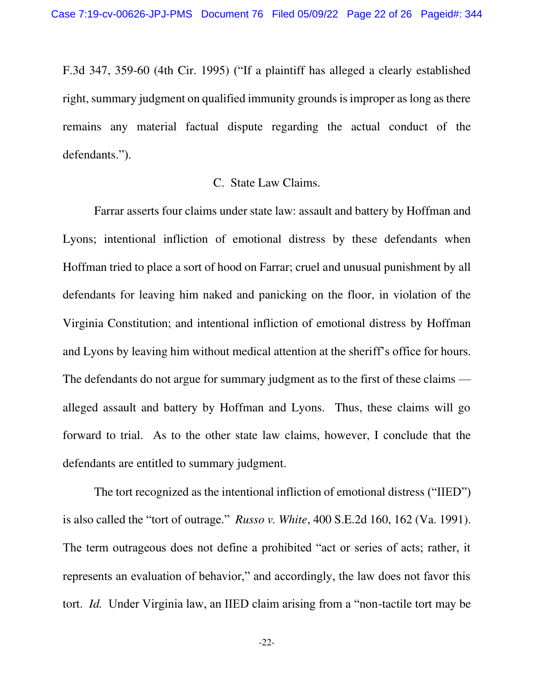F.3d 347, 359-60 (4th Cir. 1995) ("If a plaintiff has alleged a clearly established right, summary judgment on qualified immunity grounds is improper as long as there remains any material factual dispute regarding the actual conduct of the defendants.").

### C. State Law Claims.

 Farrar asserts four claims under state law: assault and battery by Hoffman and Lyons; intentional infliction of emotional distress by these defendants when Hoffman tried to place a sort of hood on Farrar; cruel and unusual punishment by all defendants for leaving him naked and panicking on the floor, in violation of the Virginia Constitution; and intentional infliction of emotional distress by Hoffman and Lyons by leaving him without medical attention at the sheriff's office for hours. The defendants do not argue for summary judgment as to the first of these claims alleged assault and battery by Hoffman and Lyons. Thus, these claims will go forward to trial. As to the other state law claims, however, I conclude that the defendants are entitled to summary judgment.

The tort recognized as the intentional infliction of emotional distress ("IIED") is also called the "tort of outrage." *Russo v. White*, 400 S.E.2d 160, 162 (Va. 1991). The term outrageous does not define a prohibited "act or series of acts; rather, it represents an evaluation of behavior," and accordingly, the law does not favor this tort. *Id.* Under Virginia law, an IIED claim arising from a "non-tactile tort may be

-22-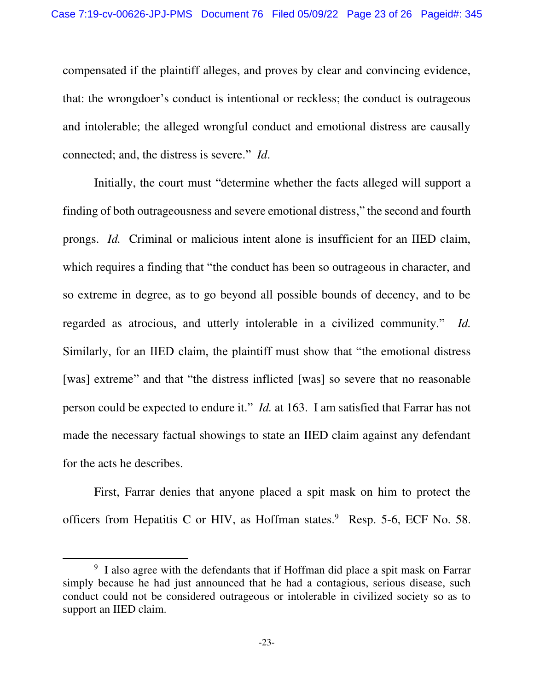compensated if the plaintiff alleges, and proves by clear and convincing evidence, that: the wrongdoer's conduct is intentional or reckless; the conduct is outrageous and intolerable; the alleged wrongful conduct and emotional distress are causally connected; and, the distress is severe." *Id*.

Initially, the court must "determine whether the facts alleged will support a finding of both outrageousness and severe emotional distress," the second and fourth prongs. *Id.* Criminal or malicious intent alone is insufficient for an IIED claim, which requires a finding that "the conduct has been so outrageous in character, and so extreme in degree, as to go beyond all possible bounds of decency, and to be regarded as atrocious, and utterly intolerable in a civilized community." *Id.* Similarly, for an IIED claim, the plaintiff must show that "the emotional distress [was] extreme" and that "the distress inflicted [was] so severe that no reasonable person could be expected to endure it." *Id.* at 163. I am satisfied that Farrar has not made the necessary factual showings to state an IIED claim against any defendant for the acts he describes.

First, Farrar denies that anyone placed a spit mask on him to protect the officers from Hepatitis C or HIV, as Hoffman states. $9$  Resp. 5-6, ECF No. 58.

<sup>&</sup>lt;sup>9</sup> I also agree with the defendants that if Hoffman did place a spit mask on Farrar simply because he had just announced that he had a contagious, serious disease, such conduct could not be considered outrageous or intolerable in civilized society so as to support an IIED claim.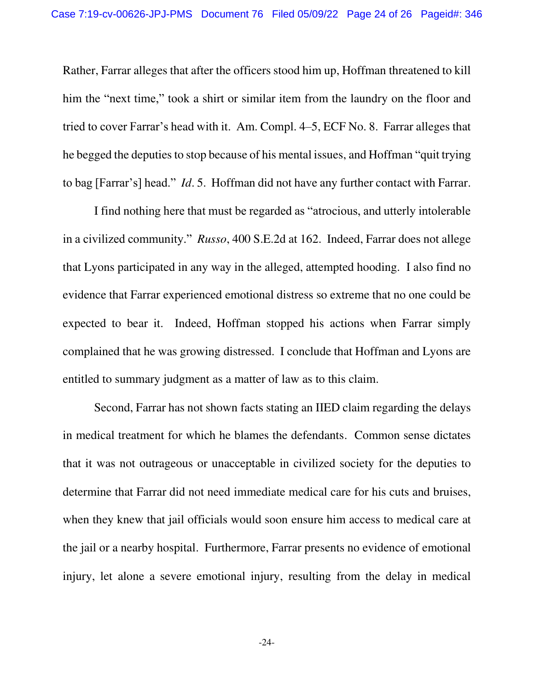Rather, Farrar alleges that after the officers stood him up, Hoffman threatened to kill him the "next time," took a shirt or similar item from the laundry on the floor and tried to cover Farrar's head with it. Am. Compl. 4–5, ECF No. 8. Farrar alleges that he begged the deputies to stop because of his mental issues, and Hoffman "quit trying to bag [Farrar's] head." *Id*. 5. Hoffman did not have any further contact with Farrar.

I find nothing here that must be regarded as "atrocious, and utterly intolerable in a civilized community." *Russo*, 400 S.E.2d at 162. Indeed, Farrar does not allege that Lyons participated in any way in the alleged, attempted hooding. I also find no evidence that Farrar experienced emotional distress so extreme that no one could be expected to bear it. Indeed, Hoffman stopped his actions when Farrar simply complained that he was growing distressed. I conclude that Hoffman and Lyons are entitled to summary judgment as a matter of law as to this claim.

Second, Farrar has not shown facts stating an IIED claim regarding the delays in medical treatment for which he blames the defendants. Common sense dictates that it was not outrageous or unacceptable in civilized society for the deputies to determine that Farrar did not need immediate medical care for his cuts and bruises, when they knew that jail officials would soon ensure him access to medical care at the jail or a nearby hospital. Furthermore, Farrar presents no evidence of emotional injury, let alone a severe emotional injury, resulting from the delay in medical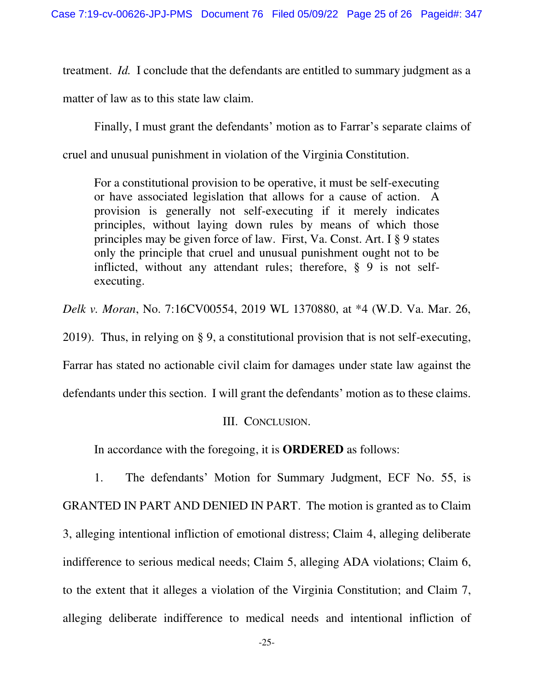treatment. *Id.* I conclude that the defendants are entitled to summary judgment as a matter of law as to this state law claim.

Finally, I must grant the defendants' motion as to Farrar's separate claims of cruel and unusual punishment in violation of the Virginia Constitution.

For a constitutional provision to be operative, it must be self-executing or have associated legislation that allows for a cause of action. A provision is generally not self-executing if it merely indicates principles, without laying down rules by means of which those principles may be given force of law. First, Va. Const. Art. I § 9 states only the principle that cruel and unusual punishment ought not to be inflicted, without any attendant rules; therefore, § 9 is not selfexecuting.

*Delk v. Moran*, No. 7:16CV00554, 2019 WL 1370880, at \*4 (W.D. Va. Mar. 26,

2019). Thus, in relying on § 9, a constitutional provision that is not self-executing,

Farrar has stated no actionable civil claim for damages under state law against the

defendants under this section. I will grant the defendants' motion as to these claims.

# III. CONCLUSION.

In accordance with the foregoing, it is **ORDERED** as follows:

1. The defendants' Motion for Summary Judgment, ECF No. 55, is GRANTED IN PART AND DENIED IN PART. The motion is granted as to Claim 3, alleging intentional infliction of emotional distress; Claim 4, alleging deliberate indifference to serious medical needs; Claim 5, alleging ADA violations; Claim 6, to the extent that it alleges a violation of the Virginia Constitution; and Claim 7, alleging deliberate indifference to medical needs and intentional infliction of